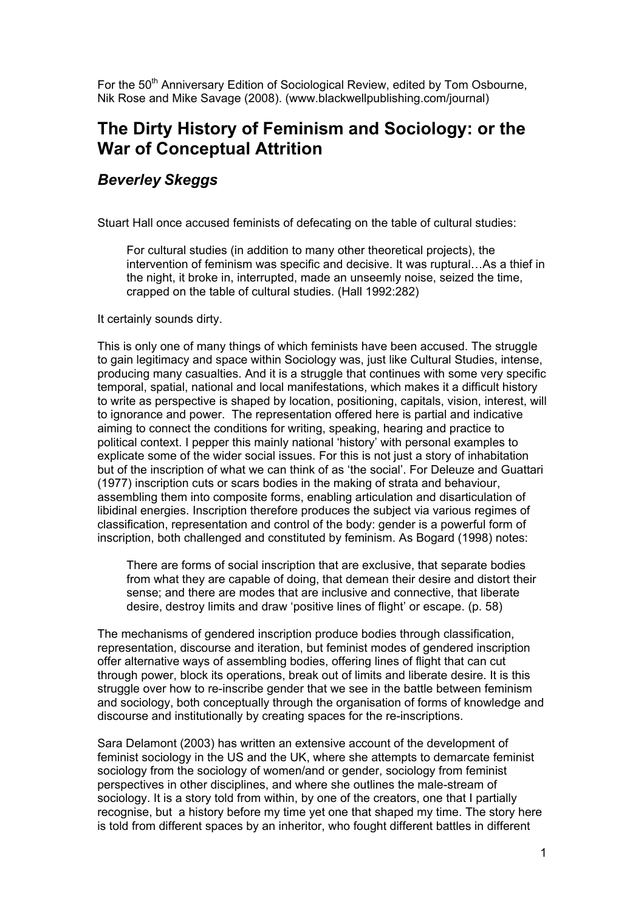For the 50<sup>th</sup> Anniversary Edition of Sociological Review, edited by Tom Osbourne, Nik Rose and Mike Savage (2008). (www.blackwellpublishing.com/journal)

# **The Dirty History of Feminism and Sociology: or the War of Conceptual Attrition**

### *Beverley Skeggs*

Stuart Hall once accused feminists of defecating on the table of cultural studies:

For cultural studies (in addition to many other theoretical projects), the intervention of feminism was specific and decisive. It was ruptural…As a thief in the night, it broke in, interrupted, made an unseemly noise, seized the time, crapped on the table of cultural studies. (Hall 1992:282)

It certainly sounds dirty.

This is only one of many things of which feminists have been accused. The struggle to gain legitimacy and space within Sociology was, just like Cultural Studies, intense, producing many casualties. And it is a struggle that continues with some very specific temporal, spatial, national and local manifestations, which makes it a difficult history to write as perspective is shaped by location, positioning, capitals, vision, interest, will to ignorance and power. The representation offered here is partial and indicative aiming to connect the conditions for writing, speaking, hearing and practice to political context. I pepper this mainly national 'history' with personal examples to explicate some of the wider social issues. For this is not just a story of inhabitation but of the inscription of what we can think of as 'the social'. For Deleuze and Guattari (1977) inscription cuts or scars bodies in the making of strata and behaviour, assembling them into composite forms, enabling articulation and disarticulation of libidinal energies. Inscription therefore produces the subject via various regimes of classification, representation and control of the body: gender is a powerful form of inscription, both challenged and constituted by feminism. As Bogard (1998) notes:

There are forms of social inscription that are exclusive, that separate bodies from what they are capable of doing, that demean their desire and distort their sense; and there are modes that are inclusive and connective, that liberate desire, destroy limits and draw 'positive lines of flight' or escape. (p. 58)

The mechanisms of gendered inscription produce bodies through classification, representation, discourse and iteration, but feminist modes of gendered inscription offer alternative ways of assembling bodies, offering lines of flight that can cut through power, block its operations, break out of limits and liberate desire. It is this struggle over how to re-inscribe gender that we see in the battle between feminism and sociology, both conceptually through the organisation of forms of knowledge and discourse and institutionally by creating spaces for the re-inscriptions.

Sara Delamont (2003) has written an extensive account of the development of feminist sociology in the US and the UK, where she attempts to demarcate feminist sociology from the sociology of women/and or gender, sociology from feminist perspectives in other disciplines, and where she outlines the male-stream of sociology. It is a story told from within, by one of the creators, one that I partially recognise, but a history before my time yet one that shaped my time. The story here is told from different spaces by an inheritor, who fought different battles in different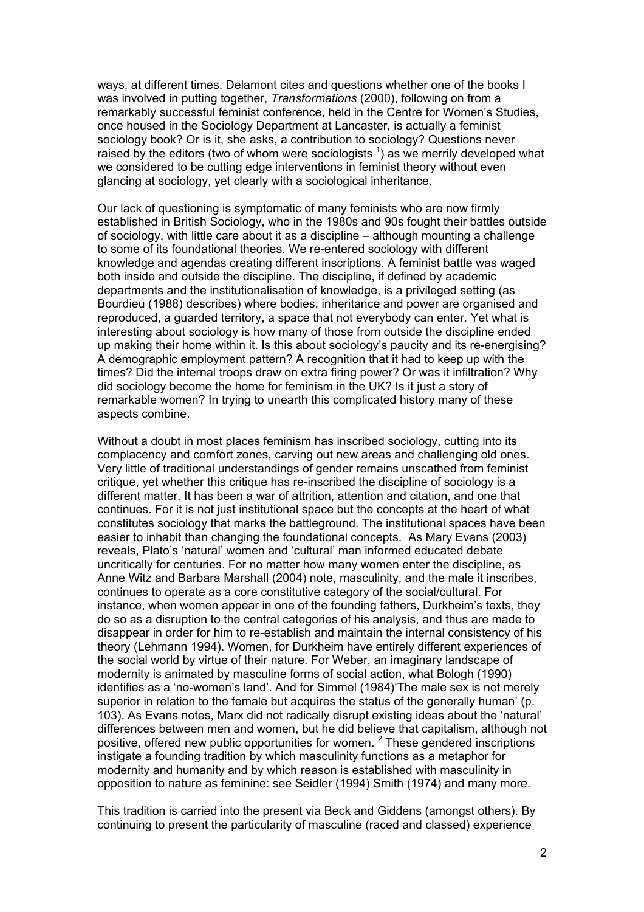ways, at different times. Delamont cites and questions whether one of the books I was involved in putting together, *Transformations* (2000), following on from a remarkably successful feminist conference, held in the Centre for Women's Studies, once housed in the Sociology Department at Lancaster, is actually a feminist sociology book? Or is it, she asks, a contribution to sociology? Questions never raised by the editors (two of whom were sociologists  $<sup>1</sup>$ ) as we merrily developed what</sup> we considered to be cutting edge interventions in feminist theory without even glancing at sociology, yet clearly with a sociological inheritance.

Our lack of questioning is symptomatic of many feminists who are now firmly established in British Sociology, who in the 1980s and 90s fought their battles outside of sociology, with little care about it as a discipline – although mounting a challenge to some of its foundational theories. We re-entered sociology with different knowledge and agendas creating different inscriptions. A feminist battle was waged both inside and outside the discipline. The discipline, if defined by academic departments and the institutionalisation of knowledge, is a privileged setting (as Bourdieu (1988) describes) where bodies, inheritance and power are organised and reproduced, a guarded territory, a space that not everybody can enter. Yet what is interesting about sociology is how many of those from outside the discipline ended up making their home within it. Is this about sociology's paucity and its re-energising? A demographic employment pattern? A recognition that it had to keep up with the times? Did the internal troops draw on extra firing power? Or was it infiltration? Why did sociology become the home for feminism in the UK? Is it just a story of remarkable women? In trying to unearth this complicated history many of these aspects combine.

Without a doubt in most places feminism has inscribed sociology, cutting into its complacency and comfort zones, carving out new areas and challenging old ones. Very little of traditional understandings of gender remains unscathed from feminist critique, yet whether this critique has re-inscribed the discipline of sociology is a different matter. It has been a war of attrition, attention and citation, and one that continues. For it is not just institutional space but the concepts at the heart of what constitutes sociology that marks the battleground. The institutional spaces have been easier to inhabit than changing the foundational concepts. As Mary Evans (2003) reveals, Plato's 'natural' women and 'cultural' man informed educated debate uncritically for centuries. For no matter how many women enter the discipline, as Anne Witz and Barbara Marshall (2004) note, masculinity, and the male it inscribes, continues to operate as a core constitutive category of the social/cultural. For instance, when women appear in one of the founding fathers, Durkheim's texts, they do so as a disruption to the central categories of his analysis, and thus are made to disappear in order for him to re-establish and maintain the internal consistency of his theory (Lehmann 1994). Women, for Durkheim have entirely different experiences of the social world by virtue of their nature. For Weber, an imaginary landscape of modernity is animated by masculine forms of social action, what Bologh (1990) identifies as a 'no-women's land'. And for Simmel (1984)'The male sex is not merely superior in relation to the female but acquires the status of the generally human' (p. 103). As Evans notes, Marx did not radically disrupt existing ideas about the 'natural' differences between men and women, but he did believe that capitalism, although not positive,offered new public opportunities for women.  $2$  These gendered inscriptions instigate a founding tradition by which masculinity functions as a metaphor for modernity and humanity and by which reason is established with masculinity in opposition to nature as feminine: see Seidler (1994) Smith (1974) and many more.

This tradition is carried into the present via Beck and Giddens (amongst others). By continuing to present the particularity of masculine (raced and classed) experience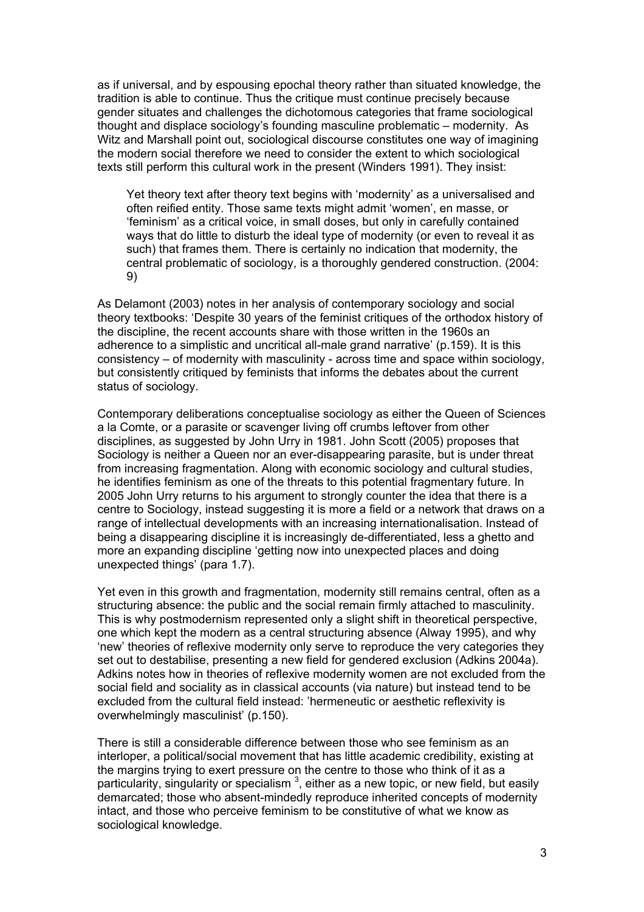as if universal, and by espousing epochal theory rather than situated knowledge, the tradition is able to continue. Thus the critique must continue precisely because gender situates and challenges the dichotomous categories that frame sociological thought and displace sociology's founding masculine problematic – modernity. As Witz and Marshall point out, sociological discourse constitutes one way of imagining the modern social therefore we need to consider the extent to which sociological texts still perform this cultural work in the present (Winders 1991). They insist:

Yet theory text after theory text begins with 'modernity' as a universalised and often reified entity. Those same texts might admit 'women', en masse, or 'feminism' as a critical voice, in small doses, but only in carefully contained ways that do little to disturb the ideal type of modernity (or even to reveal it as such) that frames them. There is certainly no indication that modernity, the central problematic of sociology, is a thoroughly gendered construction. (2004: 9)

As Delamont (2003) notes in her analysis of contemporary sociology and social theory textbooks: 'Despite 30 years of the feminist critiques of the orthodox history of the discipline, the recent accounts share with those written in the 1960s an adherence to a simplistic and uncritical all-male grand narrative' (p.159). It is this consistency – of modernity with masculinity - across time and space within sociology, but consistently critiqued by feminists that informs the debates about the current status of sociology.

Contemporary deliberations conceptualise sociology as either the Queen of Sciences a la Comte, or a parasite or scavenger living off crumbs leftover from other disciplines, as suggested by John Urry in 1981. John Scott (2005) proposes that Sociology is neither a Queen nor an ever-disappearing parasite, but is under threat from increasing fragmentation. Along with economic sociology and cultural studies, he identifies feminism as one of the threats to this potential fragmentary future. In 2005 John Urry returns to his argument to strongly counter the idea that there is a centre to Sociology, instead suggesting it is more a field or a network that draws on a range of intellectual developments with an increasing internationalisation. Instead of being a disappearing discipline it is increasingly de-differentiated, less a ghetto and more an expanding discipline 'getting now into unexpected places and doing unexpected things' (para 1.7).

Yet even in this growth and fragmentation, modernity still remains central, often as a structuring absence: the public and the social remain firmly attached to masculinity. This is why postmodernism represented only a slight shift in theoretical perspective, one which kept the modern as a central structuring absence (Alway 1995), and why 'new' theories of reflexive modernity only serve to reproduce the very categories they set out to destabilise, presenting a new field for gendered exclusion (Adkins 2004a). Adkins notes how in theories of reflexive modernity women are not excluded from the social field and sociality as in classical accounts (via nature) but instead tend to be excluded from the cultural field instead: 'hermeneutic or aesthetic reflexivity is overwhelmingly masculinist' (p.150).

There is still a considerable difference between those who see feminism as an interloper, a political/social movement that has little academic credibility, existing at the margins trying to exert pressure on the centre to those who think of it as a particularity, singularity or specialism  $3$ , either as a new topic, or new field, but easily demarcated; those who absent-mindedly reproduce inherited concepts of modernity intact, and those who perceive feminism to be constitutive of what we know as sociological knowledge.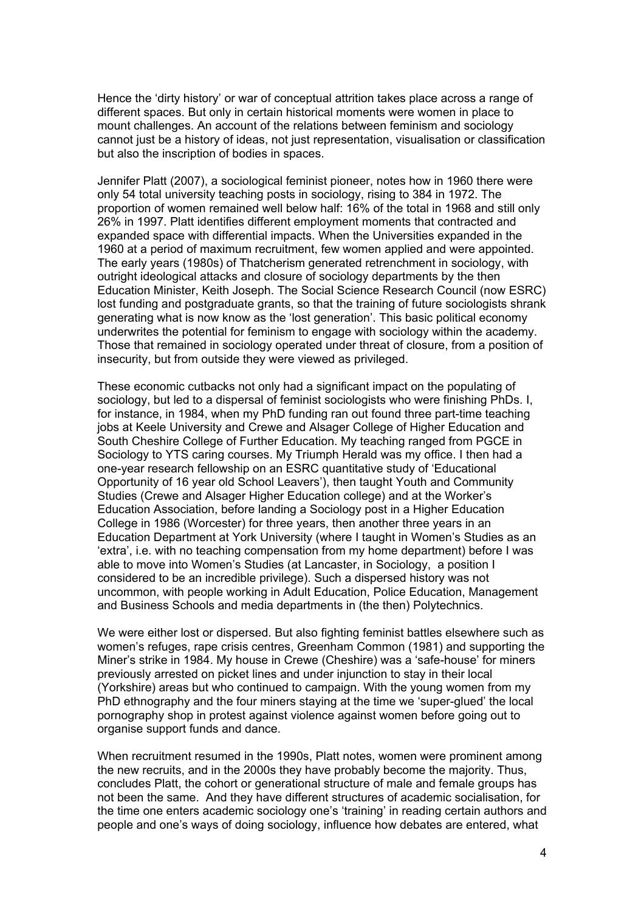Hence the 'dirty history' or war of conceptual attrition takes place across a range of different spaces. But only in certain historical moments were women in place to mount challenges. An account of the relations between feminism and sociology cannot just be a history of ideas, not just representation, visualisation or classification but also the inscription of bodies in spaces.

Jennifer Platt (2007), a sociological feminist pioneer, notes how in 1960 there were only 54 total university teaching posts in sociology, rising to 384 in 1972. The proportion of women remained well below half: 16% of the total in 1968 and still only 26% in 1997. Platt identifies different employment moments that contracted and expanded space with differential impacts. When the Universities expanded in the 1960 at a period of maximum recruitment, few women applied and were appointed. The early years (1980s) of Thatcherism generated retrenchment in sociology, with outright ideological attacks and closure of sociology departments by the then Education Minister, Keith Joseph. The Social Science Research Council (now ESRC) lost funding and postgraduate grants, so that the training of future sociologists shrank generating what is now know as the 'lost generation'. This basic political economy underwrites the potential for feminism to engage with sociology within the academy. Those that remained in sociology operated under threat of closure, from a position of insecurity, but from outside they were viewed as privileged.

These economic cutbacks not only had a significant impact on the populating of sociology, but led to a dispersal of feminist sociologists who were finishing PhDs. I, for instance, in 1984, when my PhD funding ran out found three part-time teaching jobs at Keele University and Crewe and Alsager College of Higher Education and South Cheshire College of Further Education. My teaching ranged from PGCE in Sociology to YTS caring courses. My Triumph Herald was my office. I then had a one-year research fellowship on an ESRC quantitative study of 'Educational Opportunity of 16 year old School Leavers'), then taught Youth and Community Studies (Crewe and Alsager Higher Education college) and at the Worker's Education Association, before landing a Sociology post in a Higher Education College in 1986 (Worcester) for three years, then another three years in an Education Department at York University (where I taught in Women's Studies as an 'extra', i.e. with no teaching compensation from my home department) before I was able to move into Women's Studies (at Lancaster, in Sociology, a position I considered to be an incredible privilege). Such a dispersed history was not uncommon, with people working in Adult Education, Police Education, Management and Business Schools and media departments in (the then) Polytechnics.

We were either lost or dispersed. But also fighting feminist battles elsewhere such as women's refuges, rape crisis centres, Greenham Common (1981) and supporting the Miner's strike in 1984. My house in Crewe (Cheshire) was a 'safe-house' for miners previously arrested on picket lines and under injunction to stay in their local (Yorkshire) areas but who continued to campaign. With the young women from my PhD ethnography and the four miners staying at the time we 'super-glued' the local pornography shop in protest against violence against women before going out to organise support funds and dance.

When recruitment resumed in the 1990s, Platt notes, women were prominent among the new recruits, and in the 2000s they have probably become the majority. Thus, concludes Platt, the cohort or generational structure of male and female groups has not been the same. And they have different structures of academic socialisation, for the time one enters academic sociology one's 'training' in reading certain authors and people and one's ways of doing sociology, influence how debates are entered, what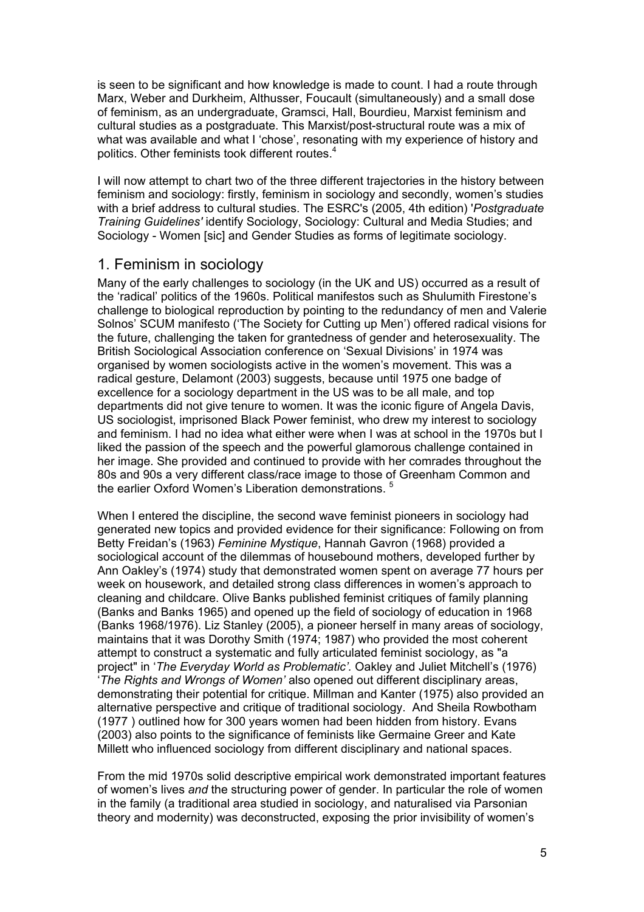is seen to be significant and how knowledge is made to count. I had a route through Marx, Weber and Durkheim, Althusser, Foucault (simultaneously) and a small dose of feminism, as an undergraduate, Gramsci, Hall, Bourdieu, Marxist feminism and cultural studies as a postgraduate. This Marxist/post-structural route was a mix of what was available and what I 'chose', resonating with my experience of history and politics. Other feminists took different routes.<sup>[4](#page-17-3)</sup>

I will now attempt to chart two of the three different trajectories in the history between feminism and sociology: firstly, feminism in sociology and secondly, women's studies with a brief address to cultural studies. The ESRC's (2005, 4th edition) '*Postgraduate Training Guidelines'* identify Sociology, Sociology: Cultural and Media Studies; and Sociology - Women [sic] and Gender Studies as forms of legitimate sociology.

#### 1. Feminism in sociology

Many of the early challenges to sociology (in the UK and US) occurred as a result of the 'radical' politics of the 1960s. Political manifestos such as Shulumith Firestone's challenge to biological reproduction by pointing to the redundancy of men and Valerie Solnos' SCUM manifesto ('The Society for Cutting up Men') offered radical visions for the future, challenging the taken for grantedness of gender and heterosexuality. The British Sociological Association conference on 'Sexual Divisions' in 1974 was organised by women sociologists active in the women's movement. This was a radical gesture, Delamont (2003) suggests, because until 1975 one badge of excellence for a sociology department in the US was to be all male, and top departments did not give tenure to women. It was the iconic figure of Angela Davis, US sociologist, imprisoned Black Power feminist, who drew my interest to sociology and feminism. I had no idea what either were when I was at school in the 1970s but I liked the passion of the speech and the powerful glamorous challenge contained in her image. She provided and continued to provide with her comrades throughout the 80s and 90s a very different class/race image to those of Greenham Common and the earlier Oxford Women's Liberation demonstrations.<sup>[5](#page-17-4)</sup>

When I entered the discipline, the second wave feminist pioneers in sociology had generated new topics and provided evidence for their significance: Following on from Betty Freidan's (1963) *Feminine Mystique*, Hannah Gavron (1968) provided a sociological account of the dilemmas of housebound mothers, developed further by Ann Oakley's (1974) study that demonstrated women spent on average 77 hours per week on housework, and detailed strong class differences in women's approach to cleaning and childcare. Olive Banks published feminist critiques of family planning (Banks and Banks 1965) and opened up the field of sociology of education in 1968 (Banks 1968/1976). Liz Stanley (2005), a pioneer herself in many areas of sociology, maintains that it was Dorothy Smith (1974; 1987) who provided the most coherent attempt to construct a systematic and fully articulated feminist sociology, as "a project" in '*The Everyday World as Problematic'.* Oakley and Juliet Mitchell's (1976) '*The Rights and Wrongs of Women'* also opened out different disciplinary areas, demonstrating their potential for critique. Millman and Kanter (1975) also provided an alternative perspective and critique of traditional sociology. And Sheila Rowbotham (1977 ) outlined how for 300 years women had been hidden from history. Evans (2003) also points to the significance of feminists like Germaine Greer and Kate Millett who influenced sociology from different disciplinary and national spaces.

From the mid 1970s solid descriptive empirical work demonstrated important features of women's lives *and* the structuring power of gender. In particular the role of women in the family (a traditional area studied in sociology, and naturalised via Parsonian theory and modernity) was deconstructed, exposing the prior invisibility of women's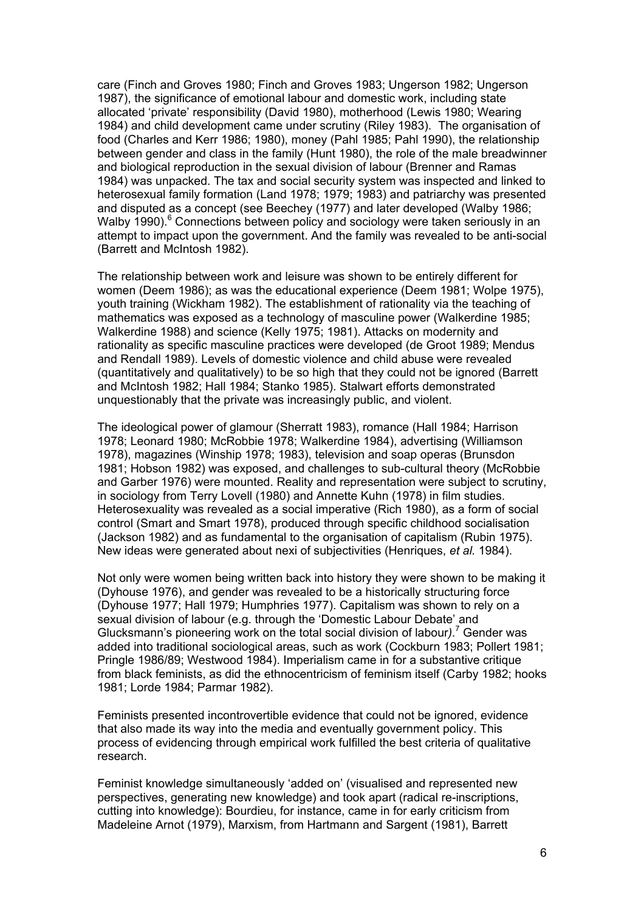care (Finch and Groves 1980; Finch and Groves 1983; Ungerson 1982; Ungerson 1987), the significance of emotional labour and domestic work, including state allocated 'private' responsibility (David 1980), motherhood (Lewis 1980; Wearing 1984) and child development came under scrutiny (Riley 1983). The organisation of food (Charles and Kerr 1986; 1980), money (Pahl 1985; Pahl 1990), the relationship between gender and class in the family (Hunt 1980), the role of the male breadwinner and biological reproduction in the sexual division of labour (Brenner and Ramas 1984) was unpacked. The tax and social security system was inspected and linked to heterosexual family formation (Land 1978; 1979; 1983) and patriarchy was presented and disputed as a concept (see Beechey (1977) and later developed (Walby 1986; Walby 1990).<sup>[6](#page-17-5)</sup> Connections between policy and sociology were taken seriously in an attempt to impact upon the government. And the family was revealed to be anti-social (Barrett and McIntosh 1982).

The relationship between work and leisure was shown to be entirely different for women (Deem 1986); as was the educational experience (Deem 1981; Wolpe 1975), youth training (Wickham 1982). The establishment of rationality via the teaching of mathematics was exposed as a technology of masculine power (Walkerdine 1985; Walkerdine 1988) and science (Kelly 1975; 1981). Attacks on modernity and rationality as specific masculine practices were developed (de Groot 1989; Mendus and Rendall 1989). Levels of domestic violence and child abuse were revealed (quantitatively and qualitatively) to be so high that they could not be ignored (Barrett and McIntosh 1982; Hall 1984; Stanko 1985). Stalwart efforts demonstrated unquestionably that the private was increasingly public, and violent.

The ideological power of glamour (Sherratt 1983), romance (Hall 1984; Harrison 1978; Leonard 1980; McRobbie 1978; Walkerdine 1984), advertising (Williamson 1978), magazines (Winship 1978; 1983), television and soap operas (Brunsdon 1981; Hobson 1982) was exposed, and challenges to sub-cultural theory (McRobbie and Garber 1976) were mounted. Reality and representation were subject to scrutiny, in sociology from Terry Lovell (1980) and Annette Kuhn (1978) in film studies. Heterosexuality was revealed as a social imperative (Rich 1980), as a form of social control (Smart and Smart 1978), produced through specific childhood socialisation (Jackson 1982) and as fundamental to the organisation of capitalism (Rubin 1975). New ideas were generated about nexi of subjectivities (Henriques, *et al.* 1984).

Not only were women being written back into history they were shown to be making it (Dyhouse 1976), and gender was revealed to be a historically structuring force (Dyhouse 1977; Hall 1979; Humphries 1977). Capitalism was shown to rely on a sexual division of labour (e.g. through the 'Domestic Labour Debate' and Glucksmann's pioneering work on the total social division of labour*).*[7](#page-17-6) Gender was added into traditional sociological areas, such as work (Cockburn 1983; Pollert 1981; Pringle 1986/89; Westwood 1984). Imperialism came in for a substantive critique from black feminists, as did the ethnocentricism of feminism itself (Carby 1982; hooks 1981; Lorde 1984; Parmar 1982).

Feminists presented incontrovertible evidence that could not be ignored, evidence that also made its way into the media and eventually government policy. This process of evidencing through empirical work fulfilled the best criteria of qualitative research.

Feminist knowledge simultaneously 'added on' (visualised and represented new perspectives, generating new knowledge) and took apart (radical re-inscriptions, cutting into knowledge): Bourdieu, for instance, came in for early criticism from Madeleine Arnot (1979), Marxism, from Hartmann and Sargent (1981), Barrett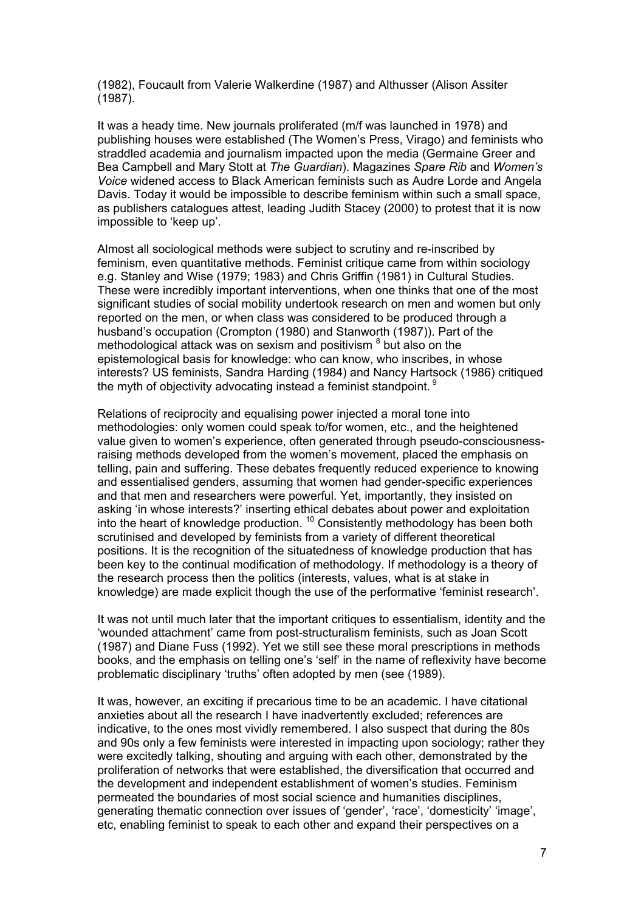(1982), Foucault from Valerie Walkerdine (1987) and Althusser (Alison Assiter (1987).

It was a heady time. New journals proliferated (m/f was launched in 1978) and publishing houses were established (The Women's Press, Virago) and feminists who straddled academia and journalism impacted upon the media (Germaine Greer and Bea Campbell and Mary Stott at *The Guardian*). Magazines *Spare Rib* and *Women's Voice* widened access to Black American feminists such as Audre Lorde and Angela Davis. Today it would be impossible to describe feminism within such a small space, as publishers catalogues attest, leading Judith Stacey (2000) to protest that it is now impossible to 'keep up'.

Almost all sociological methods were subject to scrutiny and re-inscribed by feminism, even quantitative methods. Feminist critique came from within sociology e.g. Stanley and Wise (1979; 1983) and Chris Griffin (1981) in Cultural Studies. These were incredibly important interventions, when one thinks that one of the most significant studies of social mobility undertook research on men and women but only reported on the men, or when class was considered to be produced through a husband's occupation (Crompton (1980) and Stanworth (1987)). Part of the methodological attack was on sexism and positivism <sup>[8](#page-17-7)</sup> but also on the epistemological basis for knowledge: who can know, who inscribes, in whose interests? US feminists, Sandra Harding (1984) and Nancy Hartsock (1986) critiqued the myth of objectivity advocating instead a feminist standpoint. <sup>9</sup>

Relations of reciprocity and equalising power injected a moral tone into methodologies: only women could speak to/for women, etc., and the heightened value given to women's experience, often generated through pseudo-consciousnessraising methods developed from the women's movement, placed the emphasis on telling, pain and suffering. These debates frequently reduced experience to knowing and essentialised genders, assuming that women had gender-specific experiences and that men and researchers were powerful. Yet, importantly, they insisted on asking 'in whose interests?' inserting ethical debates about power and exploitation into the heart of knowledge production. [10](#page-17-9) Consistently methodology has been both scrutinised and developed by feminists from a variety of different theoretical positions. It is the recognition of the situatedness of knowledge production that has been key to the continual modification of methodology. If methodology is a theory of the research process then the politics (interests, values, what is at stake in knowledge) are made explicit though the use of the performative 'feminist research'.

It was not until much later that the important critiques to essentialism, identity and the 'wounded attachment' came from post-structuralism feminists, such as Joan Scott (1987) and Diane Fuss (1992). Yet we still see these moral prescriptions in methods books, and the emphasis on telling one's 'self' in the name of reflexivity have become problematic disciplinary 'truths' often adopted by men (see (1989).

It was, however, an exciting if precarious time to be an academic. I have citational anxieties about all the research I have inadvertently excluded; references are indicative, to the ones most vividly remembered. I also suspect that during the 80s and 90s only a few feminists were interested in impacting upon sociology; rather they were excitedly talking, shouting and arguing with each other, demonstrated by the proliferation of networks that were established, the diversification that occurred and the development and independent establishment of women's studies. Feminism permeated the boundaries of most social science and humanities disciplines, generating thematic connection over issues of 'gender', 'race', 'domesticity' 'image', etc, enabling feminist to speak to each other and expand their perspectives on a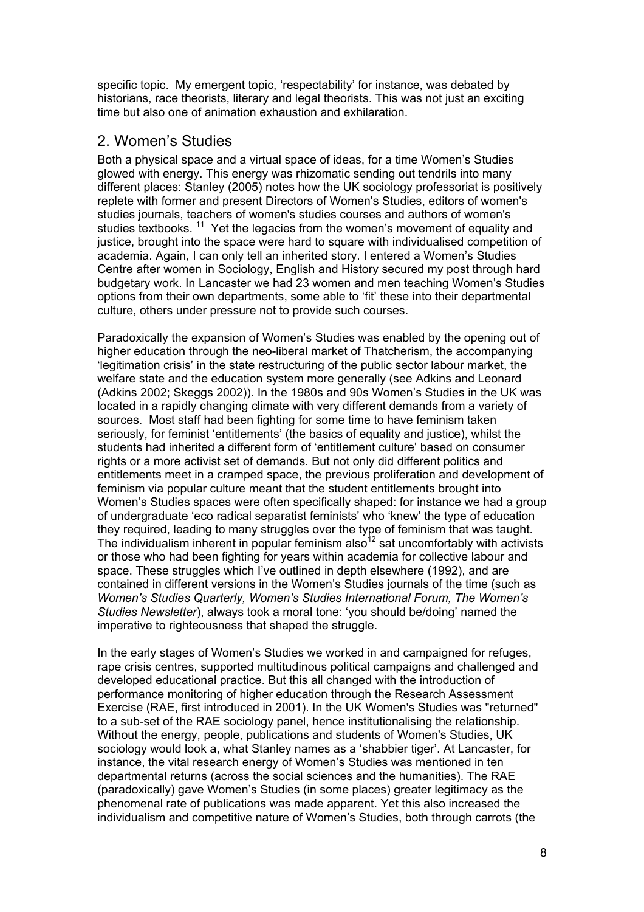specific topic. My emergent topic, 'respectability' for instance, was debated by historians, race theorists, literary and legal theorists. This was not just an exciting time but also one of animation exhaustion and exhilaration.

#### 2. Women's Studies

Both a physical space and a virtual space of ideas, for a time Women's Studies glowed with energy. This energy was rhizomatic sending out tendrils into many different places: Stanley (2005) notes how the UK sociology professoriat is positively replete with former and present Directors of Women's Studies, editors of women's studies journals, teachers of women's studies courses and authors of women's studies textbooks.<sup>11</sup> Yet the legacies from the women's movement of equality and justice, brought into the space were hard to square with individualised competition of academia. Again, I can only tell an inherited story. I entered a Women's Studies Centre after women in Sociology, English and History secured my post through hard budgetary work. In Lancaster we had 23 women and men teaching Women's Studies options from their own departments, some able to 'fit' these into their departmental culture, others under pressure not to provide such courses.

Paradoxically the expansion of Women's Studies was enabled by the opening out of higher education through the neo-liberal market of Thatcherism, the accompanying 'legitimation crisis' in the state restructuring of the public sector labour market, the welfare state and the education system more generally (see Adkins and Leonard (Adkins 2002; Skeggs 2002)). In the 1980s and 90s Women's Studies in the UK was located in a rapidly changing climate with very different demands from a variety of sources. Most staff had been fighting for some time to have feminism taken seriously, for feminist 'entitlements' (the basics of equality and justice), whilst the students had inherited a different form of 'entitlement culture' based on consumer rights or a more activist set of demands. But not only did different politics and entitlements meet in a cramped space, the previous proliferation and development of feminism via popular culture meant that the student entitlements brought into Women's Studies spaces were often specifically shaped: for instance we had a group of undergraduate 'eco radical separatist feminists' who 'knew' the type of education they required, leading to many struggles over the type of feminism that was taught. The individualism inherent in popular feminism also<sup>12</sup> sat uncomfortably with activists or those who had been fighting for years within academia for collective labour and space. These struggles which I've outlined in depth elsewhere (1992), and are contained in different versions in the Women's Studies journals of the time (such as *Women's Studies Quarterly, Women's Studies International Forum, The Women's Studies Newsletter*), always took a moral tone: 'you should be/doing' named the imperative to righteousness that shaped the struggle.

In the early stages of Women's Studies we worked in and campaigned for refuges, rape crisis centres, supported multitudinous political campaigns and challenged and developed educational practice. But this all changed with the introduction of performance monitoring of higher education through the Research Assessment Exercise (RAE, first introduced in 2001). In the UK Women's Studies was "returned" to a sub-set of the RAE sociology panel, hence institutionalising the relationship. Without the energy, people, publications and students of Women's Studies, UK sociology would look a, what Stanley names as a 'shabbier tiger'. At Lancaster, for instance, the vital research energy of Women's Studies was mentioned in ten departmental returns (across the social sciences and the humanities). The RAE (paradoxically) gave Women's Studies (in some places) greater legitimacy as the phenomenal rate of publications was made apparent. Yet this also increased the individualism and competitive nature of Women's Studies, both through carrots (the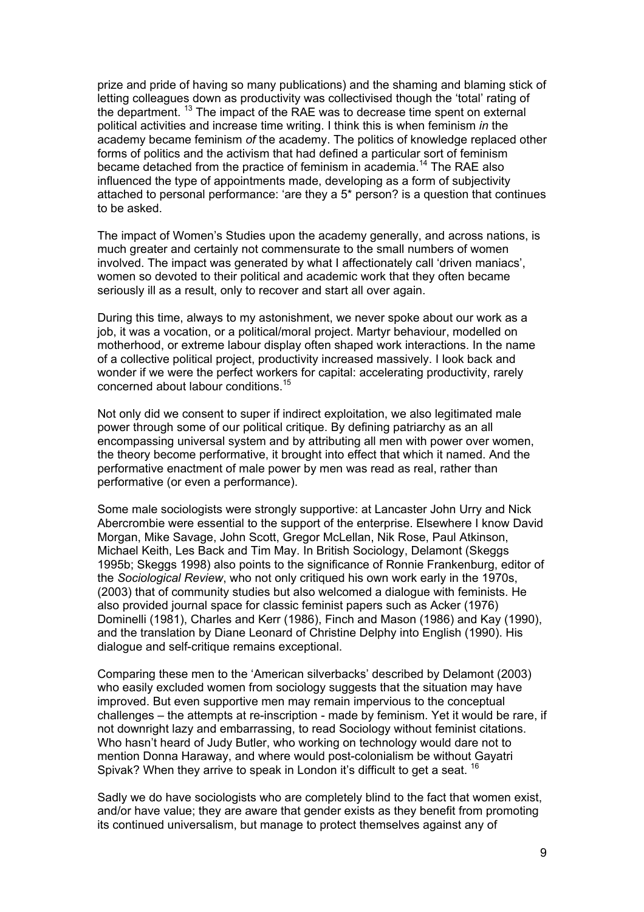prize and pride of having so many publications) and the shaming and blaming stick of letting colleagues down as productivity was collectivised though the 'total' rating of the department. [13](#page-17-12) The impact of the RAE was to decrease time spent on external political activities and increase time writing. I think this is when feminism *in* the academy became feminism *of* the academy. The politics of knowledge replaced other forms of politics and the activism that had defined a particular sort of feminism became detached from the practice of feminism in academia.<sup>14</sup> The RAE also influenced the type of appointments made, developing as a form of subjectivity attached to personal performance: 'are they a 5\* person? is a question that continues to be asked.

The impact of Women's Studies upon the academy generally, and across nations, is much greater and certainly not commensurate to the small numbers of women involved. The impact was generated by what I affectionately call 'driven maniacs', women so devoted to their political and academic work that they often became seriously ill as a result, only to recover and start all over again.

During this time, always to my astonishment, we never spoke about our work as a job, it was a vocation, or a political/moral project. Martyr behaviour, modelled on motherhood, or extreme labour display often shaped work interactions. In the name of a collective political project, productivity increased massively. I look back and wonder if we were the perfect workers for capital: accelerating productivity, rarely concerned about labour conditions.<sup>15</sup>

Not only did we consent to super if indirect exploitation, we also legitimated male power through some of our political critique. By defining patriarchy as an all encompassing universal system and by attributing all men with power over women, the theory become performative, it brought into effect that which it named. And the performative enactment of male power by men was read as real, rather than performative (or even a performance).

Some male sociologists were strongly supportive: at Lancaster John Urry and Nick Abercrombie were essential to the support of the enterprise. Elsewhere I know David Morgan, Mike Savage, John Scott, Gregor McLellan, Nik Rose, Paul Atkinson, Michael Keith, Les Back and Tim May. In British Sociology, Delamont (Skeggs 1995b; Skeggs 1998) also points to the significance of Ronnie Frankenburg, editor of the *Sociological Review*, who not only critiqued his own work early in the 1970s, (2003) that of community studies but also welcomed a dialogue with feminists. He also provided journal space for classic feminist papers such as Acker (1976) Dominelli (1981), Charles and Kerr (1986), Finch and Mason (1986) and Kay (1990), and the translation by Diane Leonard of Christine Delphy into English (1990). His dialogue and self-critique remains exceptional.

Comparing these men to the 'American silverbacks' described by Delamont (2003) who easily excluded women from sociology suggests that the situation may have improved. But even supportive men may remain impervious to the conceptual challenges – the attempts at re-inscription - made by feminism. Yet it would be rare, if not downright lazy and embarrassing, to read Sociology without feminist citations. Who hasn't heard of Judy Butler, who working on technology would dare not to mention Donna Haraway, and where would post-colonialism be without Gayatri Spivak? When they arrive to speak in London it's difficult to get a seat. <sup>[16](#page-17-15)</sup>

Sadly we do have sociologists who are completely blind to the fact that women exist, and/or have value; they are aware that gender exists as they benefit from promoting its continued universalism, but manage to protect themselves against any of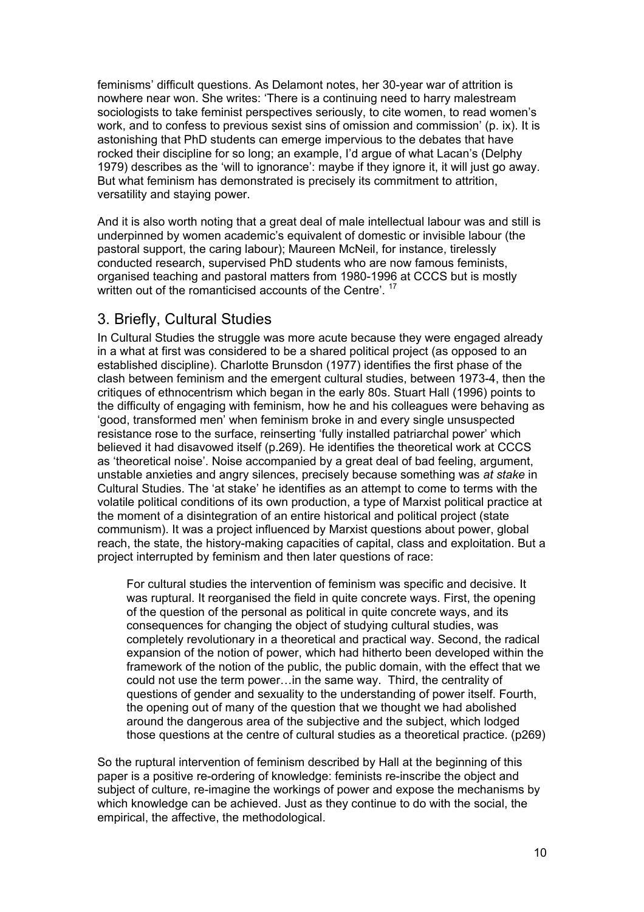feminisms' difficult questions. As Delamont notes, her 30-year war of attrition is nowhere near won. She writes: 'There is a continuing need to harry malestream sociologists to take feminist perspectives seriously, to cite women, to read women's work, and to confess to previous sexist sins of omission and commission' (p. ix). It is astonishing that PhD students can emerge impervious to the debates that have rocked their discipline for so long; an example, I'd argue of what Lacan's (Delphy 1979) describes as the 'will to ignorance': maybe if they ignore it, it will just go away. But what feminism has demonstrated is precisely its commitment to attrition, versatility and staying power.

And it is also worth noting that a great deal of male intellectual labour was and still is underpinned by women academic's equivalent of domestic or invisible labour (the pastoral support, the caring labour); Maureen McNeil, for instance, tirelessly conducted research, supervised PhD students who are now famous feminists, organised teaching and pastoral matters from 1980-1996 at CCCS but is mostly written out of the romanticised accounts of the Centre'.<sup>17</sup>

## 3. Briefly, Cultural Studies

In Cultural Studies the struggle was more acute because they were engaged already in a what at first was considered to be a shared political project (as opposed to an established discipline). Charlotte Brunsdon (1977) identifies the first phase of the clash between feminism and the emergent cultural studies, between 1973-4, then the critiques of ethnocentrism which began in the early 80s. Stuart Hall (1996) points to the difficulty of engaging with feminism, how he and his colleagues were behaving as 'good, transformed men' when feminism broke in and every single unsuspected resistance rose to the surface, reinserting 'fully installed patriarchal power' which believed it had disavowed itself (p.269). He identifies the theoretical work at CCCS as 'theoretical noise'. Noise accompanied by a great deal of bad feeling, argument, unstable anxieties and angry silences, precisely because something was *at stake* in Cultural Studies. The 'at stake' he identifies as an attempt to come to terms with the volatile political conditions of its own production, a type of Marxist political practice at the moment of a disintegration of an entire historical and political project (state communism). It was a project influenced by Marxist questions about power, global reach, the state, the history-making capacities of capital, class and exploitation. But a project interrupted by feminism and then later questions of race:

For cultural studies the intervention of feminism was specific and decisive. It was ruptural. It reorganised the field in quite concrete ways. First, the opening of the question of the personal as political in quite concrete ways, and its consequences for changing the object of studying cultural studies, was completely revolutionary in a theoretical and practical way. Second, the radical expansion of the notion of power, which had hitherto been developed within the framework of the notion of the public, the public domain, with the effect that we could not use the term power…in the same way. Third, the centrality of questions of gender and sexuality to the understanding of power itself. Fourth, the opening out of many of the question that we thought we had abolished around the dangerous area of the subjective and the subject, which lodged those questions at the centre of cultural studies as a theoretical practice. (p269)

So the ruptural intervention of feminism described by Hall at the beginning of this paper is a positive re-ordering of knowledge: feminists re-inscribe the object and subject of culture, re-imagine the workings of power and expose the mechanisms by which knowledge can be achieved. Just as they continue to do with the social, the empirical, the affective, the methodological.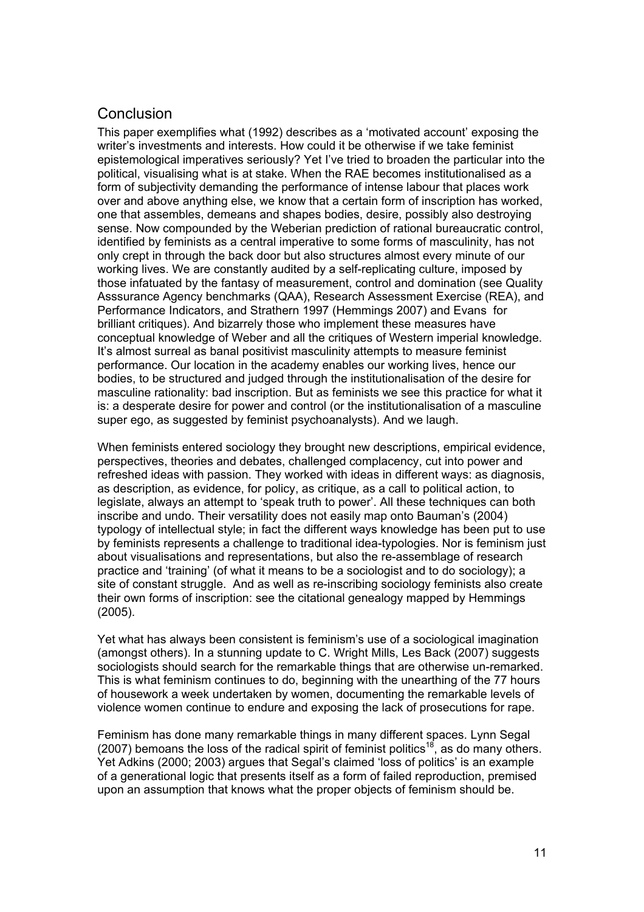### Conclusion

This paper exemplifies what (1992) describes as a 'motivated account' exposing the writer's investments and interests. How could it be otherwise if we take feminist epistemological imperatives seriously? Yet I've tried to broaden the particular into the political, visualising what is at stake. When the RAE becomes institutionalised as a form of subjectivity demanding the performance of intense labour that places work over and above anything else, we know that a certain form of inscription has worked, one that assembles, demeans and shapes bodies, desire, possibly also destroying sense. Now compounded by the Weberian prediction of rational bureaucratic control, identified by feminists as a central imperative to some forms of masculinity, has not only crept in through the back door but also structures almost every minute of our working lives. We are constantly audited by a self-replicating culture, imposed by those infatuated by the fantasy of measurement, control and domination (see Quality Asssurance Agency benchmarks (QAA), Research Assessment Exercise (REA), and Performance Indicators, and Strathern 1997 (Hemmings 2007) and Evans for brilliant critiques). And bizarrely those who implement these measures have conceptual knowledge of Weber and all the critiques of Western imperial knowledge. It's almost surreal as banal positivist masculinity attempts to measure feminist performance. Our location in the academy enables our working lives, hence our bodies, to be structured and judged through the institutionalisation of the desire for masculine rationality: bad inscription. But as feminists we see this practice for what it is: a desperate desire for power and control (or the institutionalisation of a masculine super ego, as suggested by feminist psychoanalysts). And we laugh.

When feminists entered sociology they brought new descriptions, empirical evidence, perspectives, theories and debates, challenged complacency, cut into power and refreshed ideas with passion. They worked with ideas in different ways: as diagnosis, as description, as evidence, for policy, as critique, as a call to political action, to legislate, always an attempt to 'speak truth to power'. All these techniques can both inscribe and undo. Their versatility does not easily map onto Bauman's (2004) typology of intellectual style; in fact the different ways knowledge has been put to use by feminists represents a challenge to traditional idea-typologies. Nor is feminism just about visualisations and representations, but also the re-assemblage of research practice and 'training' (of what it means to be a sociologist and to do sociology); a site of constant struggle. And as well as re-inscribing sociology feminists also create their own forms of inscription: see the citational genealogy mapped by Hemmings (2005).

Yet what has always been consistent is feminism's use of a sociological imagination (amongst others). In a stunning update to C. Wright Mills, Les Back (2007) suggests sociologists should search for the remarkable things that are otherwise un-remarked. This is what feminism continues to do, beginning with the unearthing of the 77 hours of housework a week undertaken by women, documenting the remarkable levels of violence women continue to endure and exposing the lack of prosecutions for rape.

Feminism has done many remarkable things in many different spaces. Lynn Segal (2007) bemoans the loss of the radical spirit of feminist politics<sup>18</sup>, as do many others. Yet Adkins (2000; 2003) argues that Segal's claimed 'loss of politics' is an example of a generational logic that presents itself as a form of failed reproduction, premised upon an assumption that knows what the proper objects of feminism should be.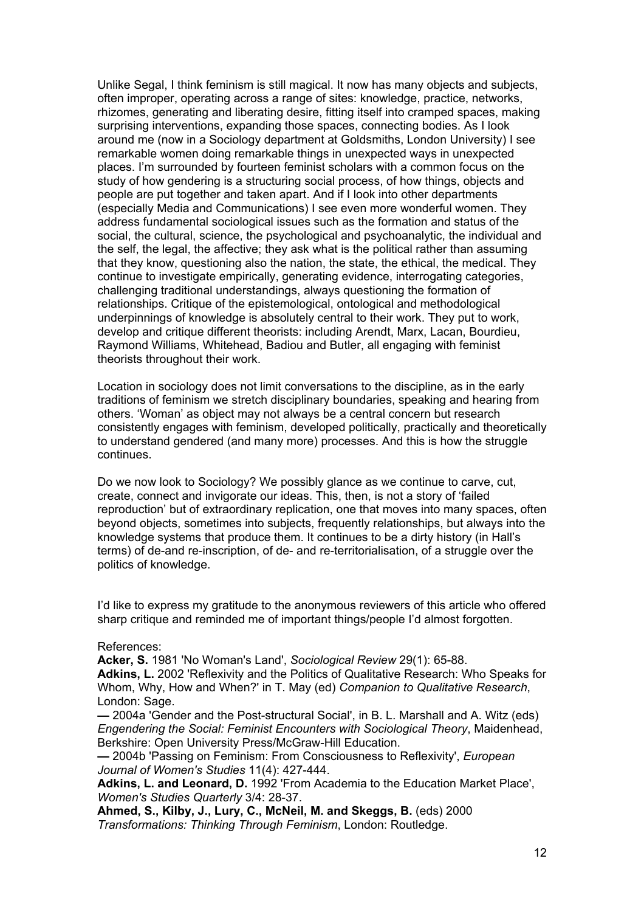Unlike Segal, I think feminism is still magical. It now has many objects and subjects, often improper, operating across a range of sites: knowledge, practice, networks, rhizomes, generating and liberating desire, fitting itself into cramped spaces, making surprising interventions, expanding those spaces, connecting bodies. As I look around me (now in a Sociology department at Goldsmiths, London University) I see remarkable women doing remarkable things in unexpected ways in unexpected places. I'm surrounded by fourteen feminist scholars with a common focus on the study of how gendering is a structuring social process, of how things, objects and people are put together and taken apart. And if I look into other departments (especially Media and Communications) I see even more wonderful women. They address fundamental sociological issues such as the formation and status of the social, the cultural, science, the psychological and psychoanalytic, the individual and the self, the legal, the affective; they ask what is the political rather than assuming that they know, questioning also the nation, the state, the ethical, the medical. They continue to investigate empirically, generating evidence, interrogating categories, challenging traditional understandings, always questioning the formation of relationships. Critique of the epistemological, ontological and methodological underpinnings of knowledge is absolutely central to their work. They put to work, develop and critique different theorists: including Arendt, Marx, Lacan, Bourdieu, Raymond Williams, Whitehead, Badiou and Butler, all engaging with feminist theorists throughout their work.

Location in sociology does not limit conversations to the discipline, as in the early traditions of feminism we stretch disciplinary boundaries, speaking and hearing from others. 'Woman' as object may not always be a central concern but research consistently engages with feminism, developed politically, practically and theoretically to understand gendered (and many more) processes. And this is how the struggle continues.

Do we now look to Sociology? We possibly glance as we continue to carve, cut, create, connect and invigorate our ideas. This, then, is not a story of 'failed reproduction' but of extraordinary replication, one that moves into many spaces, often beyond objects, sometimes into subjects, frequently relationships, but always into the knowledge systems that produce them. It continues to be a dirty history (in Hall's terms) of de-and re-inscription, of de- and re-territorialisation, of a struggle over the politics of knowledge.

I'd like to express my gratitude to the anonymous reviewers of this article who offered sharp critique and reminded me of important things/people I'd almost forgotten.

#### References:

**Acker, S.** 1981 'No Woman's Land', *Sociological Review* 29(1): 65-88.

**Adkins, L.** 2002 'Reflexivity and the Politics of Qualitative Research: Who Speaks for Whom, Why, How and When?' in T. May (ed) *Companion to Qualitative Research*, London: Sage.

**—** 2004a 'Gender and the Post-structural Social', in B. L. Marshall and A. Witz (eds) *Engendering the Social: Feminist Encounters with Sociological Theory*, Maidenhead, Berkshire: Open University Press/McGraw-Hill Education.

**—** 2004b 'Passing on Feminism: From Consciousness to Reflexivity', *European Journal of Women's Studies* 11(4): 427-444.

**Adkins, L. and Leonard, D.** 1992 'From Academia to the Education Market Place', *Women's Studies Quarterly* 3/4: 28-37.

**Ahmed, S., Kilby, J., Lury, C., McNeil, M. and Skeggs, B.** (eds) 2000 *Transformations: Thinking Through Feminism*, London: Routledge.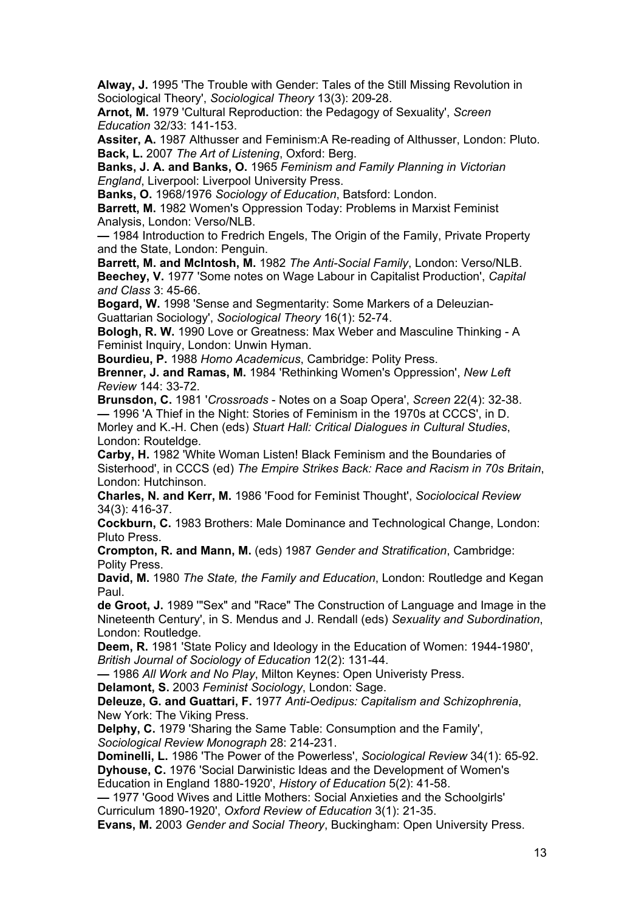**Alway, J.** 1995 'The Trouble with Gender: Tales of the Still Missing Revolution in Sociological Theory', *Sociological Theory* 13(3): 209-28.

**Arnot, M.** 1979 'Cultural Reproduction: the Pedagogy of Sexuality', *Screen Education* 32/33: 141-153.

**Assiter, A.** 1987 Althusser and Feminism:A Re-reading of Althusser, London: Pluto. **Back, L.** 2007 *The Art of Listening*, Oxford: Berg.

**Banks, J. A. and Banks, O.** 1965 *Feminism and Family Planning in Victorian England*, Liverpool: Liverpool University Press.

**Banks, O.** 1968/1976 *Sociology of Education*, Batsford: London.

**Barrett, M.** 1982 Women's Oppression Today: Problems in Marxist Feminist Analysis, London: Verso/NLB.

**—** 1984 Introduction to Fredrich Engels, The Origin of the Family, Private Property and the State, London: Penguin.

**Barrett, M. and McIntosh, M.** 1982 *The Anti-Social Family*, London: Verso/NLB. **Beechey, V.** 1977 'Some notes on Wage Labour in Capitalist Production', *Capital and Class* 3: 45-66.

**Bogard, W.** 1998 'Sense and Segmentarity: Some Markers of a Deleuzian-Guattarian Sociology', *Sociological Theory* 16(1): 52-74.

**Bologh, R. W.** 1990 Love or Greatness: Max Weber and Masculine Thinking - A Feminist Inquiry, London: Unwin Hyman.

**Bourdieu, P.** 1988 *Homo Academicus*, Cambridge: Polity Press.

**Brenner, J. and Ramas, M.** 1984 'Rethinking Women's Oppression', *New Left Review* 144: 33-72.

**Brunsdon, C.** 1981 '*Crossroads* - Notes on a Soap Opera', *Screen* 22(4): 32-38. **—** 1996 'A Thief in the Night: Stories of Feminism in the 1970s at CCCS', in D. Morley and K.-H. Chen (eds) *Stuart Hall: Critical Dialogues in Cultural Studies*, London: Routeldge.

**Carby, H.** 1982 'White Woman Listen! Black Feminism and the Boundaries of Sisterhood', in CCCS (ed) *The Empire Strikes Back: Race and Racism in 70s Britain*, London: Hutchinson.

**Charles, N. and Kerr, M.** 1986 'Food for Feminist Thought', *Sociolocical Review* 34(3): 416-37.

**Cockburn, C.** 1983 Brothers: Male Dominance and Technological Change, London: Pluto Press.

**Crompton, R. and Mann, M.** (eds) 1987 *Gender and Stratification*, Cambridge: Polity Press.

**David, M.** 1980 *The State, the Family and Education*, London: Routledge and Kegan Paul.

**de Groot, J.** 1989 '"Sex" and "Race" The Construction of Language and Image in the Nineteenth Century', in S. Mendus and J. Rendall (eds) *Sexuality and Subordination*, London: Routledge.

**Deem, R.** 1981 'State Policy and Ideology in the Education of Women: 1944-1980', *British Journal of Sociology of Education* 12(2): 131-44.

**—** 1986 *All Work and No Play*, Milton Keynes: Open Univeristy Press.

**Delamont, S.** 2003 *Feminist Sociology*, London: Sage.

**Deleuze, G. and Guattari, F.** 1977 *Anti-Oedipus: Capitalism and Schizophrenia*, New York: The Viking Press.

**Delphy, C.** 1979 'Sharing the Same Table: Consumption and the Family', *Sociological Review Monograph* 28: 214-231.

**Dominelli, L.** 1986 'The Power of the Powerless', *Sociological Review* 34(1): 65-92.

**Dyhouse, C.** 1976 'Social Darwinistic Ideas and the Development of Women's Education in England 1880-1920', *History of Education* 5(2): 41-58.

**—** 1977 'Good Wives and Little Mothers: Social Anxieties and the Schoolgirls' Curriculum 1890-1920', *Oxford Review of Education* 3(1): 21-35.

**Evans, M.** 2003 *Gender and Social Theory*, Buckingham: Open University Press.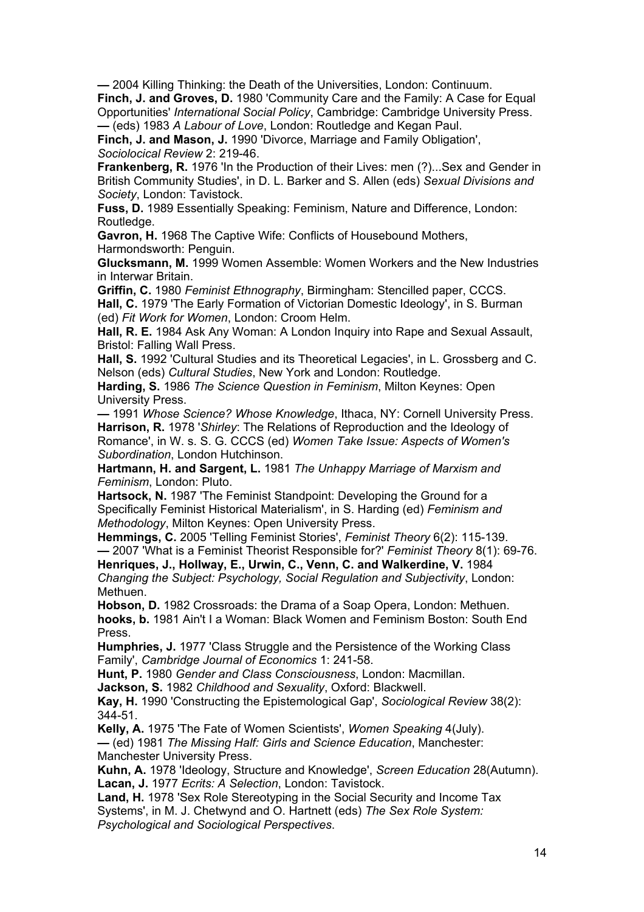**—** 2004 Killing Thinking: the Death of the Universities, London: Continuum. **Finch, J. and Groves, D.** 1980 'Community Care and the Family: A Case for Equal Opportunities' *International Social Policy*, Cambridge: Cambridge University Press. **—** (eds) 1983 *A Labour of Love*, London: Routledge and Kegan Paul.

**Finch, J. and Mason, J.** 1990 'Divorce, Marriage and Family Obligation', *Sociolocical Review* 2: 219-46.

**Frankenberg, R.** 1976 'In the Production of their Lives: men (?)...Sex and Gender in British Community Studies', in D. L. Barker and S. Allen (eds) *Sexual Divisions and Society*, London: Tavistock.

**Fuss, D.** 1989 Essentially Speaking: Feminism, Nature and Difference, London: Routledge.

**Gavron, H.** 1968 The Captive Wife: Conflicts of Housebound Mothers, Harmondsworth: Penguin.

**Glucksmann, M.** 1999 Women Assemble: Women Workers and the New Industries in Interwar Britain.

**Griffin, C.** 1980 *Feminist Ethnography*, Birmingham: Stencilled paper, CCCS.

**Hall, C.** 1979 'The Early Formation of Victorian Domestic Ideology', in S. Burman (ed) *Fit Work for Women*, London: Croom Helm.

**Hall, R. E.** 1984 Ask Any Woman: A London Inquiry into Rape and Sexual Assault, Bristol: Falling Wall Press.

**Hall, S.** 1992 'Cultural Studies and its Theoretical Legacies', in L. Grossberg and C. Nelson (eds) *Cultural Studies*, New York and London: Routledge.

**Harding, S.** 1986 *The Science Question in Feminism*, Milton Keynes: Open University Press.

**—** 1991 *Whose Science? Whose Knowledge*, Ithaca, NY: Cornell University Press. **Harrison, R.** 1978 '*Shirley*: The Relations of Reproduction and the Ideology of Romance', in W. s. S. G. CCCS (ed) *Women Take Issue: Aspects of Women's Subordination*, London Hutchinson.

**Hartmann, H. and Sargent, L.** 1981 *The Unhappy Marriage of Marxism and Feminism*, London: Pluto.

**Hartsock, N.** 1987 'The Feminist Standpoint: Developing the Ground for a Specifically Feminist Historical Materialism', in S. Harding (ed) *Feminism and Methodology*, Milton Keynes: Open University Press.

**Hemmings, C.** 2005 'Telling Feminist Stories', *Feminist Theory* 6(2): 115-139. **—** 2007 'What is a Feminist Theorist Responsible for?' *Feminist Theory* 8(1): 69-76.

**Henriques, J., Hollway, E., Urwin, C., Venn, C. and Walkerdine, V.** 1984 *Changing the Subject: Psychology, Social Regulation and Subjectivity*, London: Methuen.

**Hobson, D.** 1982 Crossroads: the Drama of a Soap Opera, London: Methuen. **hooks, b.** 1981 Ain't I a Woman: Black Women and Feminism Boston: South End Press.

**Humphries, J.** 1977 'Class Struggle and the Persistence of the Working Class Family', *Cambridge Journal of Economics* 1: 241-58.

**Hunt, P.** 1980 *Gender and Class Consciousness*, London: Macmillan.

**Jackson, S.** 1982 *Childhood and Sexuality*, Oxford: Blackwell.

**Kay, H.** 1990 'Constructing the Epistemological Gap', *Sociological Review* 38(2): 344-51.

**Kelly, A.** 1975 'The Fate of Women Scientists', *Women Speaking* 4(July).

**—** (ed) 1981 *The Missing Half: Girls and Science Education*, Manchester: Manchester University Press.

**Kuhn, A.** 1978 'Ideology, Structure and Knowledge', *Screen Education* 28(Autumn). **Lacan, J.** 1977 *Ecrits: A Selection*, London: Tavistock.

**Land, H.** 1978 'Sex Role Stereotyping in the Social Security and Income Tax Systems', in M. J. Chetwynd and O. Hartnett (eds) *The Sex Role System:* 

*Psychological and Sociological Perspectives*.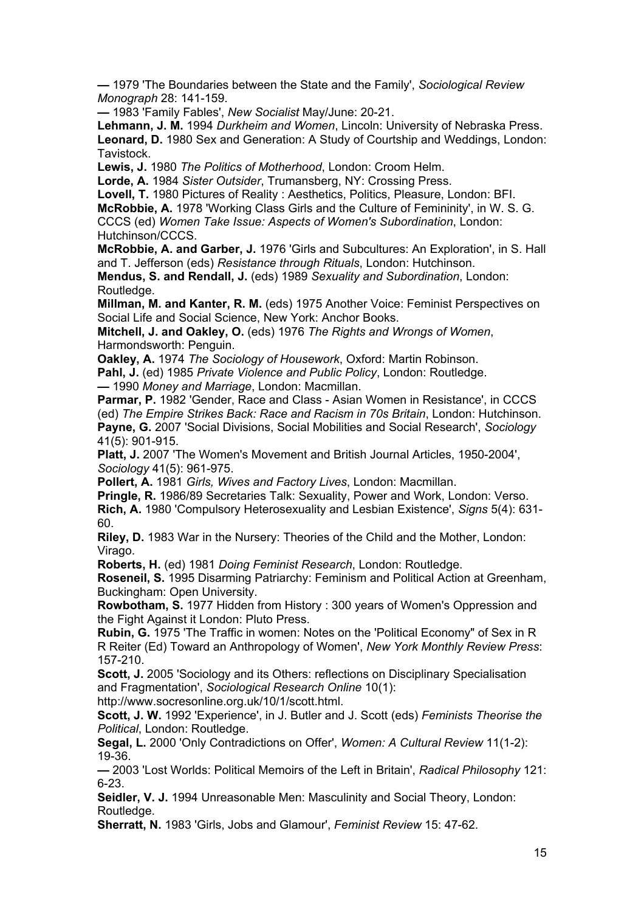**—** 1979 'The Boundaries between the State and the Family', *Sociological Review Monograph* 28: 141-159.

**—** 1983 'Family Fables', *New Socialist* May/June: 20-21.

**Lehmann, J. M.** 1994 *Durkheim and Women*, Lincoln: University of Nebraska Press. **Leonard, D.** 1980 Sex and Generation: A Study of Courtship and Weddings, London: Tavistock.

**Lewis, J.** 1980 *The Politics of Motherhood*, London: Croom Helm.

**Lorde, A.** 1984 *Sister Outsider*, Trumansberg, NY: Crossing Press.

**Lovell, T.** 1980 Pictures of Reality : Aesthetics, Politics, Pleasure, London: BFI. **McRobbie, A.** 1978 'Working Class Girls and the Culture of Femininity', in W. S. G. CCCS (ed) *Women Take Issue: Aspects of Women's Subordination*, London: Hutchinson/CCCS.

**McRobbie, A. and Garber, J.** 1976 'Girls and Subcultures: An Exploration', in S. Hall and T. Jefferson (eds) *Resistance through Rituals*, London: Hutchinson.

**Mendus, S. and Rendall, J.** (eds) 1989 *Sexuality and Subordination*, London: Routledge.

**Millman, M. and Kanter, R. M.** (eds) 1975 Another Voice: Feminist Perspectives on Social Life and Social Science, New York: Anchor Books.

**Mitchell, J. and Oakley, O.** (eds) 1976 *The Rights and Wrongs of Women*, Harmondsworth: Penguin.

**Oakley, A.** 1974 *The Sociology of Housework*, Oxford: Martin Robinson.

**Pahl, J.** (ed) 1985 *Private Violence and Public Policy*, London: Routledge.

**—** 1990 *Money and Marriage*, London: Macmillan.

**Parmar, P.** 1982 'Gender, Race and Class - Asian Women in Resistance', in CCCS (ed) *The Empire Strikes Back: Race and Racism in 70s Britain*, London: Hutchinson. **Payne, G.** 2007 'Social Divisions, Social Mobilities and Social Research', *Sociology* 41(5): 901-915.

**Platt, J.** 2007 'The Women's Movement and British Journal Articles, 1950-2004', *Sociology* 41(5): 961-975.

**Pollert, A.** 1981 *Girls, Wives and Factory Lives*, London: Macmillan.

**Pringle, R.** 1986/89 Secretaries Talk: Sexuality, Power and Work, London: Verso. **Rich, A.** 1980 'Compulsory Heterosexuality and Lesbian Existence', *Signs* 5(4): 631- 60.

**Riley, D.** 1983 War in the Nursery: Theories of the Child and the Mother, London: Virago.

**Roberts, H.** (ed) 1981 *Doing Feminist Research*, London: Routledge.

**Roseneil, S.** 1995 Disarming Patriarchy: Feminism and Political Action at Greenham, Buckingham: Open University.

**Rowbotham, S.** 1977 Hidden from History : 300 years of Women's Oppression and the Fight Against it London: Pluto Press.

**Rubin, G.** 1975 'The Traffic in women: Notes on the 'Political Economy" of Sex in R R Reiter (Ed) Toward an Anthropology of Women', *New York Monthly Review Press*: 157-210.

**Scott, J.** 2005 'Sociology and its Others: reflections on Disciplinary Specialisation and Fragmentation', *Sociological Research Online* 10(1):

http://www.socresonline.org.uk/10/1/scott.html.

**Scott, J. W.** 1992 'Experience', in J. Butler and J. Scott (eds) *Feminists Theorise the Political*, London: Routledge.

**Segal, L.** 2000 'Only Contradictions on Offer', *Women: A Cultural Review* 11(1-2): 19-36.

**—** 2003 'Lost Worlds: Political Memoirs of the Left in Britain', *Radical Philosophy* 121: 6-23.

**Seidler, V. J.** 1994 Unreasonable Men: Masculinity and Social Theory, London: Routledge.

**Sherratt, N.** 1983 'Girls, Jobs and Glamour', *Feminist Review* 15: 47-62.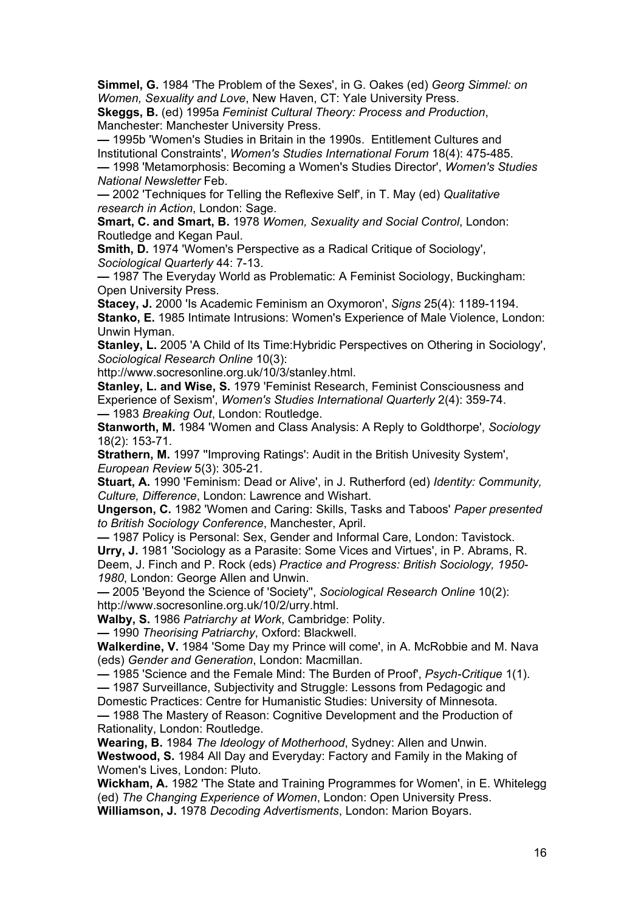**Simmel, G.** 1984 'The Problem of the Sexes', in G. Oakes (ed) *Georg Simmel: on Women, Sexuality and Love*, New Haven, CT: Yale University Press.

**Skeggs, B.** (ed) 1995a *Feminist Cultural Theory: Process and Production*, Manchester: Manchester University Press.

**—** 1995b 'Women's Studies in Britain in the 1990s. Entitlement Cultures and Institutional Constraints', *Women's Studies International Forum* 18(4): 475-485.

**—** 1998 'Metamorphosis: Becoming a Women's Studies Director', *Women's Studies National Newsletter* Feb.

**—** 2002 'Techniques for Telling the Reflexive Self', in T. May (ed) *Qualitative research in Action*, London: Sage.

**Smart, C. and Smart, B.** 1978 *Women, Sexuality and Social Control*, London: Routledge and Kegan Paul.

**Smith, D.** 1974 'Women's Perspective as a Radical Critique of Sociology', *Sociological Quarterly* 44: 7-13.

**—** 1987 The Everyday World as Problematic: A Feminist Sociology, Buckingham: Open University Press.

**Stacey, J.** 2000 'Is Academic Feminism an Oxymoron', *Signs* 25(4): 1189-1194. **Stanko, E.** 1985 Intimate Intrusions: Women's Experience of Male Violence, London: Unwin Hyman.

**Stanley, L.** 2005 'A Child of Its Time:Hybridic Perspectives on Othering in Sociology', *Sociological Research Online* 10(3):

http://www.socresonline.org.uk/10/3/stanley.html.

**Stanley, L. and Wise, S.** 1979 'Feminist Research, Feminist Consciousness and Experience of Sexism', *Women's Studies International Quarterly* 2(4): 359-74. **—** 1983 *Breaking Out*, London: Routledge.

**Stanworth, M.** 1984 'Women and Class Analysis: A Reply to Goldthorpe', *Sociology* 18(2): 153-71.

**Strathern, M.** 1997 ''Improving Ratings': Audit in the British Univesity System', *European Review* 5(3): 305-21.

**Stuart, A.** 1990 'Feminism: Dead or Alive', in J. Rutherford (ed) *Identity: Community, Culture, Difference*, London: Lawrence and Wishart.

**Ungerson, C.** 1982 'Women and Caring: Skills, Tasks and Taboos' *Paper presented to British Sociology Conference*, Manchester, April.

**—** 1987 Policy is Personal: Sex, Gender and Informal Care, London: Tavistock. **Urry, J.** 1981 'Sociology as a Parasite: Some Vices and Virtues', in P. Abrams, R. Deem, J. Finch and P. Rock (eds) *Practice and Progress: British Sociology, 1950- 1980*, London: George Allen and Unwin.

**—** 2005 'Beyond the Science of 'Society'', *Sociological Research Online* 10(2): http://www.socresonline.org.uk/10/2/urry.html.

**Walby, S.** 1986 *Patriarchy at Work*, Cambridge: Polity.

**—** 1990 *Theorising Patriarchy*, Oxford: Blackwell.

**Walkerdine, V.** 1984 'Some Day my Prince will come', in A. McRobbie and M. Nava (eds) *Gender and Generation*, London: Macmillan.

**—** 1985 'Science and the Female Mind: The Burden of Proof', *Psych-Critique* 1(1).

**—** 1987 Surveillance, Subjectivity and Struggle: Lessons from Pedagogic and Domestic Practices: Centre for Humanistic Studies: University of Minnesota. **—** 1988 The Mastery of Reason: Cognitive Development and the Production of

Rationality, London: Routledge.

**Wearing, B.** 1984 *The Ideology of Motherhood*, Sydney: Allen and Unwin. **Westwood, S.** 1984 All Day and Everyday: Factory and Family in the Making of Women's Lives, London: Pluto.

**Wickham, A.** 1982 'The State and Training Programmes for Women', in E. Whitelegg (ed) *The Changing Experience of Women*, London: Open University Press. **Williamson, J.** 1978 *Decoding Advertisments*, London: Marion Boyars.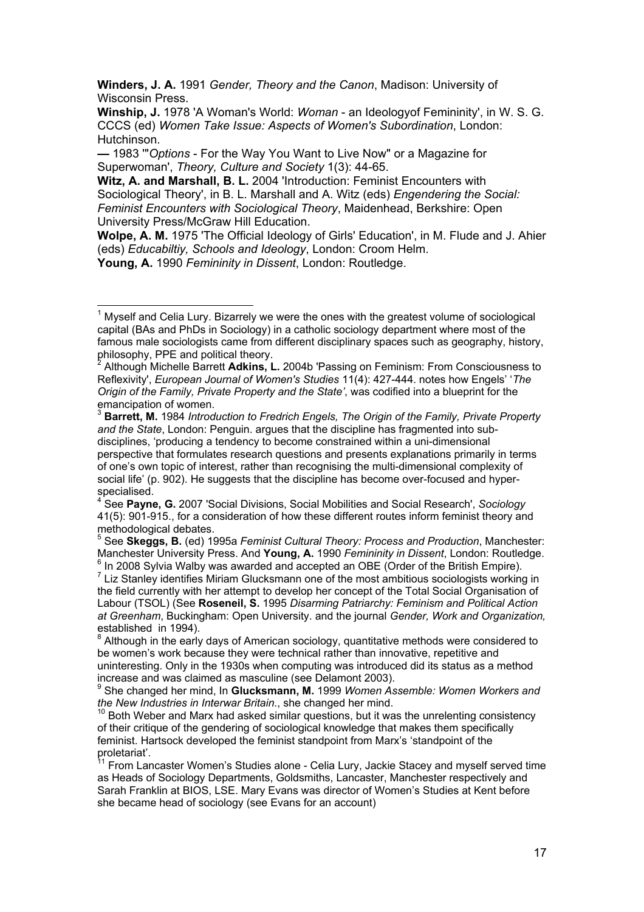**Winders, J. A.** 1991 *Gender, Theory and the Canon*, Madison: University of Wisconsin Press.

**Winship, J.** 1978 'A Woman's World: *Woman* - an Ideologyof Femininity', in W. S. G. CCCS (ed) *Women Take Issue: Aspects of Women's Subordination*, London: Hutchinson.

**—** 1983 '"*Options* - For the Way You Want to Live Now" or a Magazine for Superwoman', *Theory, Culture and Society* 1(3): 44-65.

**Witz, A. and Marshall, B. L.** 2004 'Introduction: Feminist Encounters with Sociological Theory', in B. L. Marshall and A. Witz (eds) *Engendering the Social: Feminist Encounters with Sociological Theory*, Maidenhead, Berkshire: Open University Press/McGraw Hill Education.

**Wolpe, A. M.** 1975 'The Official Ideology of Girls' Education', in M. Flude and J. Ahier (eds) *Educabiltiy, Schools and Ideology*, London: Croom Helm.

**Young, A.** 1990 *Femininity in Dissent*, London: Routledge.

<sup>3</sup> **Barrett, M.** 1984 *Introduction to Fredrich Engels, The Origin of the Family, Private Property and the State*, London: Penguin. argues that the discipline has fragmented into subdisciplines, 'producing a tendency to become constrained within a uni-dimensional perspective that formulates research questions and presents explanations primarily in terms of one's own topic of interest, rather than recognising the multi-dimensional complexity of social life' (p. 902). He suggests that the discipline has become over-focused and hyperspecialised.

methodological debates.<br><sup>5</sup> See **Skeggs, B.** (ed) 1995a *Feminist Cultural Theory: Process and Production*, Manchester: Manchester University Press. And **Young, A.** 1990 *Femininity in Dissent*, London: Routledge.<br><sup>6</sup> In 2008 Sylvia Walby was awarded and accepted an OBE (Order of the British Empire).<br><sup>7</sup> Liz Stepley identifies Miriam Cluska

 $<sup>7</sup>$  Liz Stanley identifies Miriam Glucksmann one of the most ambitious sociologists working in</sup> the field currently with her attempt to develop her concept of the Total Social Organisation of Labour (TSOL) (See **Roseneil, S.** 1995 *Disarming Patriarchy: Feminism and Political Action at Greenham*, Buckingham: Open University. and the journal *Gender, Work and Organization,* established in 1994).

 Although in the early days of American sociology, quantitative methods were considered to be women's work because they were technical rather than innovative, repetitive and uninteresting. Only in the 1930s when computing was introduced did its status as a method increase and was claimed as masculine (see Delamont 2003).

 She changed her mind, In **Glucksmann, M.** 1999 *Women Assemble: Women Workers and the New Industries in Interwar Britain*., she changed her mind.

10 Both Weber and Marx had asked similar questions, but it was the unrelenting consistency of their critique of the gendering of sociological knowledge that makes them specifically feminist. Hartsock developed the feminist standpoint from Marx's 'standpoint of the proletariat'.

<sup>11</sup> From Lancaster Women's Studies alone - Celia Lury, Jackie Stacey and myself served time as Heads of Sociology Departments, Goldsmiths, Lancaster, Manchester respectively and Sarah Franklin at BIOS, LSE. Mary Evans was director of Women's Studies at Kent before she became head of sociology (see Evans for an account)

 <sup>1</sup> Myself and Celia Lury. Bizarrely we were the ones with the greatest volume of sociological capital (BAs and PhDs in Sociology) in a catholic sociology department where most of the famous male sociologists came from different disciplinary spaces such as geography, history, philosophy, PPE and political theory.

<sup>2</sup> Although Michelle Barrett **Adkins, L.** 2004b 'Passing on Feminism: From Consciousness to Reflexivity', *European Journal of Women's Studies* 11(4): 427-444. notes how Engels' '*The Origin of the Family, Private Property and the State'*, was codified into a blueprint for the emancipation of women.

<sup>4</sup> See **Payne, G.** 2007 'Social Divisions, Social Mobilities and Social Research', *Sociology* 41(5): 901-915., for a consideration of how these different routes inform feminist theory and